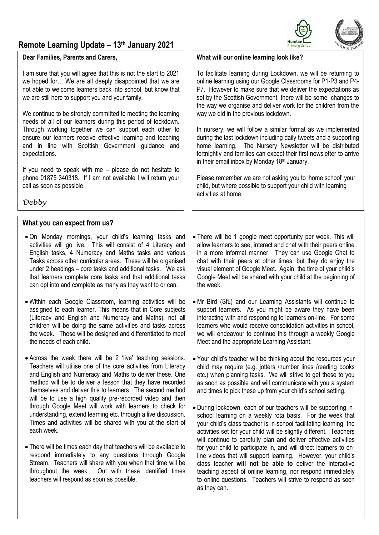# **Remote Learning Update – 13th January 2021**

#### **Dear Families, Parents and Carers,**

I am sure that you will agree that this is not the start to 2021 we hoped for… We are all deeply disappointed that we are not able to welcome learners back into school, but know that we are still here to support you and your family.

We continue to be strongly committed to meeting the learning needs of all of our learners during this period of lockdown. Through working together we can support each other to ensure our learners receive effective learning and teaching and in line with Scottish Government guidance and expectations.

If you need to speak with me – please do not hesitate to phone 01875 340318. If I am not available I will return your call as soon as possible.

*Debby*

# **What you can expect from us?**

- On Monday mornings, your child's learning tasks and activities will go live. This will consist of 4 Literacy and English tasks, 4 Numeracy and Maths tasks and various Tasks across other curricular areas. These will be organised under 2 headings – core tasks and additional tasks. We ask that learners complete core tasks and that additional tasks can opt into and complete as many as they want to or can.
- Within each Google Classroom, learning activities will be assigned to each learner. This means that in Core subjects (Literacy and English and Numeracy and Maths), not all children will be doing the same activities and tasks across the week. These will be designed and differentiated to meet the needs of each child.
- Across the week there will be 2 'live' teaching sessions. Teachers will utilise one of the core activities from Literacy and English and Numeracy and Maths to deliver these. One method will be to deliver a lesson that they have recorded themselves and deliver this to learners. The second method will be to use a high quality pre-recorded video and then through Google Meet will work with learners to check for understanding, extend learning etc. through a live discussion. Times and activities will be shared with you at the start of each week.
- There will be times each day that teachers will be available to respond immediately to any questions through Google Stream. Teachers will share with you when that time will be throughout the week. Out with these identified times teachers will respond as soon as possible.
- There will be 1 google meet opportunity per week. This will allow learners to see, interact and chat with their peers online in a more informal manner. They can use Google Chat to chat with their peers at other times, but they do enjoy the visual element of Google Meet. Again, the time of your child's Google Meet will be shared with your child at the beginning of the week.
- Mr Bird (SfL) and our Learning Assistants will continue to support learners. As you might be aware they have been interacting with and responding to learners on-line. For some learners who would receive consolidation activities in school, we will endeavour to continue this through a weekly Google Meet and the appropriate Learning Assistant.
- Your child's teacher will be thinking about the resources your child may require (e.g. jotters /number lines /reading books etc.) when planning tasks. We will strive to get these to you as soon as possible and will communicate with you a system and times to pick these up from your child's school setting.
- During lockdown, each of our teachers will be supporting inschool learning on a weekly rota basis. For the week that your child's class teacher is in-school facilitating learning, the activities set for your child will be slightly different. Teachers will continue to carefully plan and deliver effective activities for your child to participate in, and will direct learners to online videos that will support learning. However, your child's class teacher **will not be able to** deliver the interactive teaching aspect of online learning, nor respond immediately to online questions. Teachers will strive to respond as soon as they can.

### **What will our online learning look like?**

To facilitate learning during Lockdown, we will be returning to online learning using our Google Classrooms for P1-P3 and P4- P7. However to make sure that we deliver the expectations as set by the Scottish Government, there will be some changes to the way we organise and deliver work for the children from the way we did in the previous lockdown.

In nursery, we will follow a similar format as we implemented during the last lockdown including daily tweets and a supporting home learning. The Nursery Newsletter will be distributed fortnightly and families can expect their first newsletter to arrive in their email inbox by Monday 18<sup>th</sup> January.

Please remember we are not asking you to 'home school' your child, but where possible to support your child with learning activities at home.